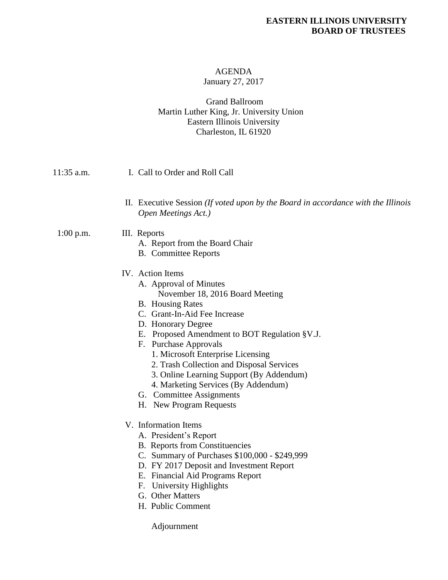#### **EASTERN ILLINOIS UNIVERSITY BOARD OF TRUSTEES**

# AGENDA

# January 27, 2017

## Grand Ballroom Martin Luther King, Jr. University Union Eastern Illinois University Charleston, IL 61920

| 11:35 a.m.  | I. Call to Order and Roll Call                                                                                                                                                                                                                                                                                                                                                                                                                                                                                                                                                                                                                                                                                                                                       |
|-------------|----------------------------------------------------------------------------------------------------------------------------------------------------------------------------------------------------------------------------------------------------------------------------------------------------------------------------------------------------------------------------------------------------------------------------------------------------------------------------------------------------------------------------------------------------------------------------------------------------------------------------------------------------------------------------------------------------------------------------------------------------------------------|
|             | II. Executive Session <i>(If voted upon by the Board in accordance with the Illinois</i><br>Open Meetings Act.)                                                                                                                                                                                                                                                                                                                                                                                                                                                                                                                                                                                                                                                      |
| $1:00$ p.m. | III. Reports<br>A. Report from the Board Chair<br><b>B.</b> Committee Reports                                                                                                                                                                                                                                                                                                                                                                                                                                                                                                                                                                                                                                                                                        |
|             | IV. Action Items<br>A. Approval of Minutes<br>November 18, 2016 Board Meeting<br><b>B.</b> Housing Rates<br>C. Grant-In-Aid Fee Increase<br>D. Honorary Degree<br>E. Proposed Amendment to BOT Regulation §V.J.<br>F. Purchase Approvals<br>1. Microsoft Enterprise Licensing<br>2. Trash Collection and Disposal Services<br>3. Online Learning Support (By Addendum)<br>4. Marketing Services (By Addendum)<br>G. Committee Assignments<br>H. New Program Requests<br>V. Information Items<br>A. President's Report<br><b>B.</b> Reports from Constituencies<br>C. Summary of Purchases \$100,000 - \$249,999<br>D. FY 2017 Deposit and Investment Report<br>E. Financial Aid Programs Report<br>F. University Highlights<br>G. Other Matters<br>H. Public Comment |
|             |                                                                                                                                                                                                                                                                                                                                                                                                                                                                                                                                                                                                                                                                                                                                                                      |

Adjournment